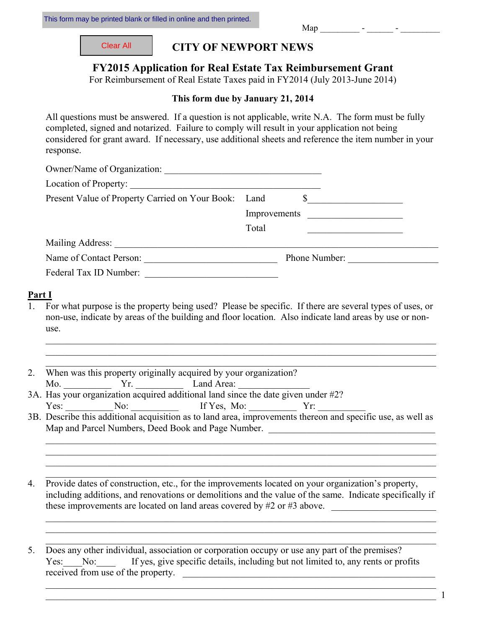| Clear All |
|-----------|
|           |

**CITY OF NEWPORT NEWS** 

## **FY2015 Application for Real Estate Tax Reimbursement Grant**

For Reimbursement of Real Estate Taxes paid in FY2014 (July 2013-June 2014)

### **This form due by January 21, 2014**

All questions must be answered. If a question is not applicable, write N.A. The form must be fully completed, signed and notarized. Failure to comply will result in your application not being considered for grant award. If necessary, use additional sheets and reference the item number in your response.

| Location of Property:                                |              |                                                                                                                       |
|------------------------------------------------------|--------------|-----------------------------------------------------------------------------------------------------------------------|
| Present Value of Property Carried on Your Book: Land |              |                                                                                                                       |
|                                                      | Improvements | <u> 1980 - Jan Samuel Barbara, martin a shekara 1980 - An tsa a tsa a tsa a tsa a tsa a tsa a tsa a tsa a tsa a t</u> |
|                                                      | Total        |                                                                                                                       |
| Mailing Address:                                     |              |                                                                                                                       |
| Name of Contact Person:                              |              | Phone Number:                                                                                                         |
| Federal Tax ID Number:                               |              |                                                                                                                       |

#### **Part I**

1. For what purpose is the property being used? Please be specific. If there are several types of uses, or non-use, indicate by areas of the building and floor location. Also indicate land areas by use or nonuse.

\_\_\_\_\_\_\_\_\_\_\_\_\_\_\_\_\_\_\_\_\_\_\_\_\_\_\_\_\_\_\_\_\_\_\_\_\_\_\_\_\_\_\_\_\_\_\_\_\_\_\_\_\_\_\_\_\_\_\_\_\_\_\_\_\_\_\_\_\_\_\_\_\_\_\_\_\_\_\_\_\_\_ \_\_\_\_\_\_\_\_\_\_\_\_\_\_\_\_\_\_\_\_\_\_\_\_\_\_\_\_\_\_\_\_\_\_\_\_\_\_\_\_\_\_\_\_\_\_\_\_\_\_\_\_\_\_\_\_\_\_\_\_\_\_\_\_\_\_\_\_\_\_\_\_\_\_\_\_\_\_\_\_\_\_ \_\_\_\_\_\_\_\_\_\_\_\_\_\_\_\_\_\_\_\_\_\_\_\_\_\_\_\_\_\_\_\_\_\_\_\_\_\_\_\_\_\_\_\_\_\_\_\_\_\_\_\_\_\_\_\_\_\_\_\_\_\_\_\_\_\_\_\_\_\_\_\_\_\_\_\_\_\_\_\_\_\_

- 2. When was this property originally acquired by your organization?  $\text{Mo.}$   $\begin{array}{ccc}\n \text{Yr.} \\
\text{Land Area:}\n \end{array}$
- 3A. Has your organization acquired additional land since the date given under #2? Yes: \_\_\_\_\_\_\_\_\_\_ No: \_\_\_\_\_\_\_\_\_\_ If Yes, Mo: \_\_\_\_\_\_\_\_\_\_ Yr: \_\_\_\_\_\_\_\_\_\_
- 3B. Describe this additional acquisition as to land area, improvements thereon and specific use, as well as Map and Parcel Numbers, Deed Book and Page Number.

\_\_\_\_\_\_\_\_\_\_\_\_\_\_\_\_\_\_\_\_\_\_\_\_\_\_\_\_\_\_\_\_\_\_\_\_\_\_\_\_\_\_\_\_\_\_\_\_\_\_\_\_\_\_\_\_\_\_\_\_\_\_\_\_\_\_\_\_\_\_\_\_\_\_\_\_\_\_\_\_\_\_ \_\_\_\_\_\_\_\_\_\_\_\_\_\_\_\_\_\_\_\_\_\_\_\_\_\_\_\_\_\_\_\_\_\_\_\_\_\_\_\_\_\_\_\_\_\_\_\_\_\_\_\_\_\_\_\_\_\_\_\_\_\_\_\_\_\_\_\_\_\_\_\_\_\_\_\_\_\_\_\_\_\_ \_\_\_\_\_\_\_\_\_\_\_\_\_\_\_\_\_\_\_\_\_\_\_\_\_\_\_\_\_\_\_\_\_\_\_\_\_\_\_\_\_\_\_\_\_\_\_\_\_\_\_\_\_\_\_\_\_\_\_\_\_\_\_\_\_\_\_\_\_\_\_\_\_\_\_\_\_\_\_\_\_\_ \_\_\_\_\_\_\_\_\_\_\_\_\_\_\_\_\_\_\_\_\_\_\_\_\_\_\_\_\_\_\_\_\_\_\_\_\_\_\_\_\_\_\_\_\_\_\_\_\_\_\_\_\_\_\_\_\_\_\_\_\_\_\_\_\_\_\_\_\_\_\_\_\_\_\_\_\_\_\_\_\_\_

4. Provide dates of construction, etc., for the improvements located on your organization's property, including additions, and renovations or demolitions and the value of the same. Indicate specifically if these improvements are located on land areas covered by  $#2$  or  $#3$  above.

\_\_\_\_\_\_\_\_\_\_\_\_\_\_\_\_\_\_\_\_\_\_\_\_\_\_\_\_\_\_\_\_\_\_\_\_\_\_\_\_\_\_\_\_\_\_\_\_\_\_\_\_\_\_\_\_\_\_\_\_\_\_\_\_\_\_\_\_\_\_\_\_\_\_\_\_\_\_\_\_\_\_  $\_$  , and the contribution of the contribution of the contribution of the contribution of  $\mathcal{L}_\text{max}$ \_\_\_\_\_\_\_\_\_\_\_\_\_\_\_\_\_\_\_\_\_\_\_\_\_\_\_\_\_\_\_\_\_\_\_\_\_\_\_\_\_\_\_\_\_\_\_\_\_\_\_\_\_\_\_\_\_\_\_\_\_\_\_\_\_\_\_\_\_\_\_\_\_\_\_\_\_\_\_\_\_\_

5. Does any other individual, association or corporation occupy or use any part of the premises? Yes: No: If yes, give specific details, including but not limited to, any rents or profits received from use of the property.

 $\_$  . The contribution of the contribution of the contribution of the contribution of  $\mathbb{1}$ 

\_\_\_\_\_\_\_\_\_\_\_\_\_\_\_\_\_\_\_\_\_\_\_\_\_\_\_\_\_\_\_\_\_\_\_\_\_\_\_\_\_\_\_\_\_\_\_\_\_\_\_\_\_\_\_\_\_\_\_\_\_\_\_\_\_\_\_\_\_\_\_\_\_\_\_\_\_\_\_\_\_\_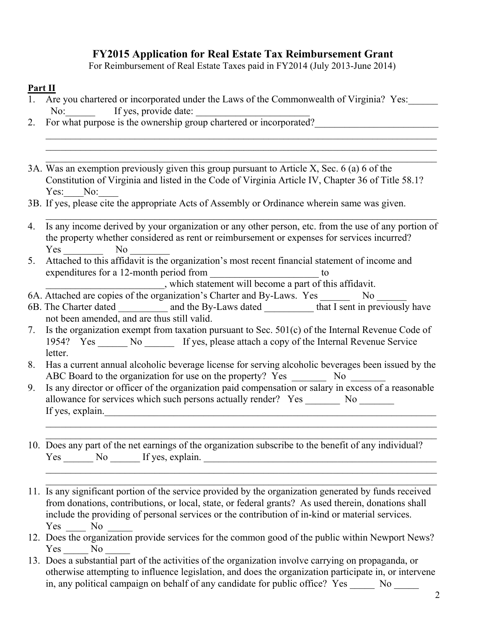# **FY2015 Application for Real Estate Tax Reimbursement Grant**

For Reimbursement of Real Estate Taxes paid in FY2014 (July 2013-June 2014)

\_\_\_\_\_\_\_\_\_\_\_\_\_\_\_\_\_\_\_\_\_\_\_\_\_\_\_\_\_\_\_\_\_\_\_\_\_\_\_\_\_\_\_\_\_\_\_\_\_\_\_\_\_\_\_\_\_\_\_\_\_\_\_\_\_\_\_\_\_\_\_\_\_\_\_\_\_\_\_ \_\_\_\_\_\_\_\_\_\_\_\_\_\_\_\_\_\_\_\_\_\_\_\_\_\_\_\_\_\_\_\_\_\_\_\_\_\_\_\_\_\_\_\_\_\_\_\_\_\_\_\_\_\_\_\_\_\_\_\_\_\_\_\_\_\_\_\_\_\_\_\_\_\_\_\_\_\_\_ \_\_\_\_\_\_\_\_\_\_\_\_\_\_\_\_\_\_\_\_\_\_\_\_\_\_\_\_\_\_\_\_\_\_\_\_\_\_\_\_\_\_\_\_\_\_\_\_\_\_\_\_\_\_\_\_\_\_\_\_\_\_\_\_\_\_\_\_\_\_\_\_\_\_\_\_\_\_\_

## **Part II**

- 1. Are you chartered or incorporated under the Laws of the Commonwealth of Virginia? Yes: No: If yes, provide date:
- 2. For what purpose is the ownership group chartered or incorporated?
- 3A. Was an exemption previously given this group pursuant to Article X, Sec. 6 (a) 6 of the Constitution of Virginia and listed in the Code of Virginia Article IV, Chapter 36 of Title 58.1? Yes: No:
- 3B. If yes, please cite the appropriate Acts of Assembly or Ordinance wherein same was given.
- $\mathcal{L}_\mathcal{L} = \{ \mathcal{L}_\mathcal{L} = \{ \mathcal{L}_\mathcal{L} = \{ \mathcal{L}_\mathcal{L} = \{ \mathcal{L}_\mathcal{L} = \{ \mathcal{L}_\mathcal{L} = \{ \mathcal{L}_\mathcal{L} = \{ \mathcal{L}_\mathcal{L} = \{ \mathcal{L}_\mathcal{L} = \{ \mathcal{L}_\mathcal{L} = \{ \mathcal{L}_\mathcal{L} = \{ \mathcal{L}_\mathcal{L} = \{ \mathcal{L}_\mathcal{L} = \{ \mathcal{L}_\mathcal{L} = \{ \mathcal{L}_\mathcal{$ 4. Is any income derived by your organization or any other person, etc. from the use of any portion of the property whether considered as rent or reimbursement or expenses for services incurred? Yes No
- 5. Attached to this affidavit is the organization's most recent financial statement of income and expenditures for a 12-month period from \_\_\_\_\_\_\_\_\_\_\_\_\_\_\_\_\_\_\_\_\_\_\_\_\_ to

which statement will become a part of this affidavit.

- 6A. Attached are copies of the organization's Charter and By-Laws. Yes \_\_\_\_\_\_\_\_ No \_\_\_\_\_\_\_
- 6B. The Charter dated and the By-Laws dated that I sent in previously have not been amended, and are thus still valid.
- 7. Is the organization exempt from taxation pursuant to Sec. 501(c) of the Internal Revenue Code of 1954? Yes No If yes, please attach a copy of the Internal Revenue Service letter.
- 8. Has a current annual alcoholic beverage license for serving alcoholic beverages been issued by the ABC Board to the organization for use on the property? Yes No
- 9. Is any director or officer of the organization paid compensation or salary in excess of a reasonable allowance for services which such persons actually render? Yes \_\_\_\_\_\_\_\_ No \_\_\_\_\_\_\_ If yes, explain.

\_\_\_\_\_\_\_\_\_\_\_\_\_\_\_\_\_\_\_\_\_\_\_\_\_\_\_\_\_\_\_\_\_\_\_\_\_\_\_\_\_\_\_\_\_\_\_\_\_\_\_\_\_\_\_\_\_\_\_\_\_\_\_\_\_\_\_\_\_\_\_\_\_\_\_\_\_\_\_

\_\_\_\_\_\_\_\_\_\_\_\_\_\_\_\_\_\_\_\_\_\_\_\_\_\_\_\_\_\_\_\_\_\_\_\_\_\_\_\_\_\_\_\_\_\_\_\_\_\_\_\_\_\_\_\_\_\_\_\_\_\_\_\_\_\_\_\_\_\_\_\_\_\_\_\_\_\_\_

- \_\_\_\_\_\_\_\_\_\_\_\_\_\_\_\_\_\_\_\_\_\_\_\_\_\_\_\_\_\_\_\_\_\_\_\_\_\_\_\_\_\_\_\_\_\_\_\_\_\_\_\_\_\_\_\_\_\_\_\_\_\_\_\_\_\_\_\_\_\_\_\_\_\_\_\_\_\_\_ 10. Does any part of the net earnings of the organization subscribe to the benefit of any individual? Yes No If yes, explain.
- $\mathcal{L}_\mathcal{L} = \{ \mathcal{L}_\mathcal{L} = \{ \mathcal{L}_\mathcal{L} = \{ \mathcal{L}_\mathcal{L} = \{ \mathcal{L}_\mathcal{L} = \{ \mathcal{L}_\mathcal{L} = \{ \mathcal{L}_\mathcal{L} = \{ \mathcal{L}_\mathcal{L} = \{ \mathcal{L}_\mathcal{L} = \{ \mathcal{L}_\mathcal{L} = \{ \mathcal{L}_\mathcal{L} = \{ \mathcal{L}_\mathcal{L} = \{ \mathcal{L}_\mathcal{L} = \{ \mathcal{L}_\mathcal{L} = \{ \mathcal{L}_\mathcal{$ 11. Is any significant portion of the service provided by the organization generated by funds received from donations, contributions, or local, state, or federal grants? As used therein, donations shall include the providing of personal services or the contribution of in-kind or material services. Yes No
- 12. Does the organization provide services for the common good of the public within Newport News? Yes No
- 13. Does a substantial part of the activities of the organization involve carrying on propaganda, or otherwise attempting to influence legislation, and does the organization participate in, or intervene in, any political campaign on behalf of any candidate for public office? Yes No